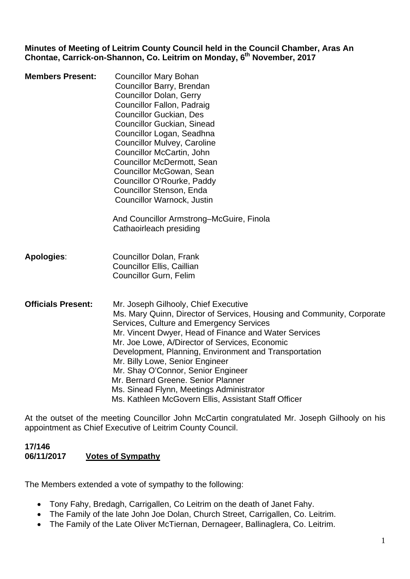**Minutes of Meeting of Leitrim County Council held in the Council Chamber, Aras An Chontae, Carrick-on-Shannon, Co. Leitrim on Monday, 6th November, 2017** 

**Members Present:** Councillor Mary Bohan Councillor Barry, Brendan Councillor Dolan, Gerry Councillor Fallon, Padraig Councillor Guckian, Des Councillor Guckian, Sinead Councillor Logan, Seadhna Councillor Mulvey, Caroline Councillor McCartin, John Councillor McDermott, Sean Councillor McGowan, Sean Councillor O'Rourke, Paddy Councillor Stenson, Enda Councillor Warnock, Justin

> And Councillor Armstrong–McGuire, Finola Cathaoirleach presiding

- **Apologies**: Councillor Dolan, Frank Councillor Ellis, Caillian Councillor Gurn, Felim
- **Officials Present:** Mr. Joseph Gilhooly, Chief Executive Ms. Mary Quinn, Director of Services, Housing and Community, Corporate Services, Culture and Emergency Services Mr. Vincent Dwyer, Head of Finance and Water Services Mr. Joe Lowe, A/Director of Services, Economic Development, Planning, Environment and Transportation Mr. Billy Lowe, Senior Engineer Mr. Shay O'Connor, Senior Engineer Mr. Bernard Greene. Senior Planner Ms. Sinead Flynn, Meetings Administrator Ms. Kathleen McGovern Ellis, Assistant Staff Officer

At the outset of the meeting Councillor John McCartin congratulated Mr. Joseph Gilhooly on his appointment as Chief Executive of Leitrim County Council.

#### **17/146 06/11/2017 Votes of Sympathy**

The Members extended a vote of sympathy to the following:

- Tony Fahy, Bredagh, Carrigallen, Co Leitrim on the death of Janet Fahy.
- The Family of the late John Joe Dolan, Church Street, Carrigallen, Co. Leitrim.
- The Family of the Late Oliver McTiernan, Dernageer, Ballinaglera, Co. Leitrim.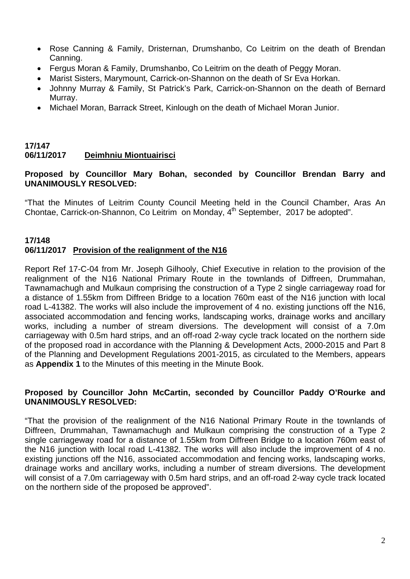- Rose Canning & Family, Dristernan, Drumshanbo, Co Leitrim on the death of Brendan Canning.
- Fergus Moran & Family, Drumshanbo, Co Leitrim on the death of Peggy Moran.
- Marist Sisters, Marymount, Carrick-on-Shannon on the death of Sr Eva Horkan.
- Johnny Murray & Family, St Patrick's Park, Carrick-on-Shannon on the death of Bernard Murray.
- Michael Moran, Barrack Street, Kinlough on the death of Michael Moran Junior.

#### **17/147 06/11/2017 Deimhniu Miontuairisci**

#### **Proposed by Councillor Mary Bohan, seconded by Councillor Brendan Barry and UNANIMOUSLY RESOLVED:**

"That the Minutes of Leitrim County Council Meeting held in the Council Chamber, Aras An Chontae, Carrick-on-Shannon, Co Leitrim on Monday, 4<sup>th</sup> September, 2017 be adopted".

#### **17/148 06/11/2017 Provision of the realignment of the N16**

Report Ref 17-C-04 from Mr. Joseph Gilhooly, Chief Executive in relation to the provision of the realignment of the N16 National Primary Route in the townlands of Diffreen, Drummahan, Tawnamachugh and Mulkaun comprising the construction of a Type 2 single carriageway road for a distance of 1.55km from Diffreen Bridge to a location 760m east of the N16 junction with local road L-41382. The works will also include the improvement of 4 no. existing junctions off the N16, associated accommodation and fencing works, landscaping works, drainage works and ancillary works, including a number of stream diversions. The development will consist of a 7.0m carriageway with 0.5m hard strips, and an off-road 2-way cycle track located on the northern side of the proposed road in accordance with the Planning & Development Acts, 2000-2015 and Part 8 of the Planning and Development Regulations 2001-2015, as circulated to the Members, appears as **Appendix 1** to the Minutes of this meeting in the Minute Book.

#### **Proposed by Councillor John McCartin, seconded by Councillor Paddy O'Rourke and UNANIMOUSLY RESOLVED:**

"That the provision of the realignment of the N16 National Primary Route in the townlands of Diffreen, Drummahan, Tawnamachugh and Mulkaun comprising the construction of a Type 2 single carriageway road for a distance of 1.55km from Diffreen Bridge to a location 760m east of the N16 junction with local road L-41382. The works will also include the improvement of 4 no. existing junctions off the N16, associated accommodation and fencing works, landscaping works, drainage works and ancillary works, including a number of stream diversions. The development will consist of a 7.0m carriageway with 0.5m hard strips, and an off-road 2-way cycle track located on the northern side of the proposed be approved".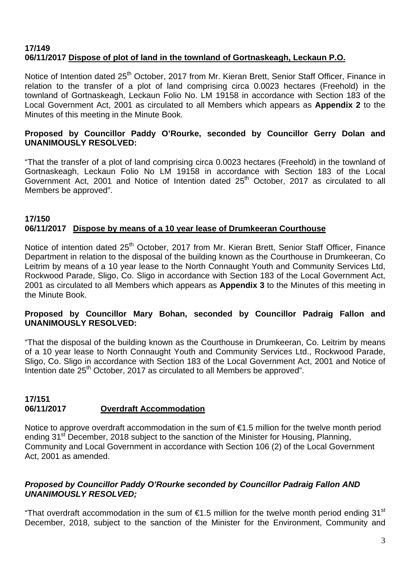#### **17/149 06/11/2017 Dispose of plot of land in the townland of Gortnaskeagh, Leckaun P.O.**

Notice of Intention dated 25<sup>th</sup> October, 2017 from Mr. Kieran Brett, Senior Staff Officer, Finance in relation to the transfer of a plot of land comprising circa 0.0023 hectares (Freehold) in the townland of Gortnaskeagh, Leckaun Folio No. LM 19158 in accordance with Section 183 of the Local Government Act, 2001 as circulated to all Members which appears as **Appendix 2** to the Minutes of this meeting in the Minute Book.

#### **Proposed by Councillor Paddy O'Rourke, seconded by Councillor Gerry Dolan and UNANIMOUSLY RESOLVED:**

"That the transfer of a plot of land comprising circa 0.0023 hectares (Freehold) in the townland of Gortnaskeagh, Leckaun Folio No LM 19158 in accordance with Section 183 of the Local Government Act, 2001 and Notice of Intention dated 25<sup>th</sup> October, 2017 as circulated to all Members be approved".

#### **17/150 06/11/2017 Dispose by means of a 10 year lease of Drumkeeran Courthouse**

Notice of intention dated 25<sup>th</sup> October, 2017 from Mr. Kieran Brett, Senior Staff Officer, Finance Department in relation to the disposal of the building known as the Courthouse in Drumkeeran, Co Leitrim by means of a 10 year lease to the North Connaught Youth and Community Services Ltd, Rockwood Parade, Sligo, Co. Sligo in accordance with Section 183 of the Local Government Act, 2001 as circulated to all Members which appears as **Appendix 3** to the Minutes of this meeting in the Minute Book.

#### **Proposed by Councillor Mary Bohan, seconded by Councillor Padraig Fallon and UNANIMOUSLY RESOLVED:**

"That the disposal of the building known as the Courthouse in Drumkeeran, Co. Leitrim by means of a 10 year lease to North Connaught Youth and Community Services Ltd., Rockwood Parade, Sligo, Co. Sligo in accordance with Section 183 of the Local Government Act, 2001 and Notice of Intention date 25<sup>th</sup> October, 2017 as circulated to all Members be approved".

#### **17/151 06/11/2017 Overdraft Accommodation**

Notice to approve overdraft accommodation in the sum of €1.5 million for the twelve month period ending 31<sup>st</sup> December, 2018 subject to the sanction of the Minister for Housing, Planning, Community and Local Government in accordance with Section 106 (2) of the Local Government Act, 2001 as amended.

#### *Proposed by Councillor Paddy O'Rourke seconded by Councillor Padraig Fallon AND UNANIMOUSLY RESOLVED;*

"That overdraft accommodation in the sum of  $\epsilon$ 1.5 million for the twelve month period ending 31<sup>st</sup> December, 2018, subject to the sanction of the Minister for the Environment, Community and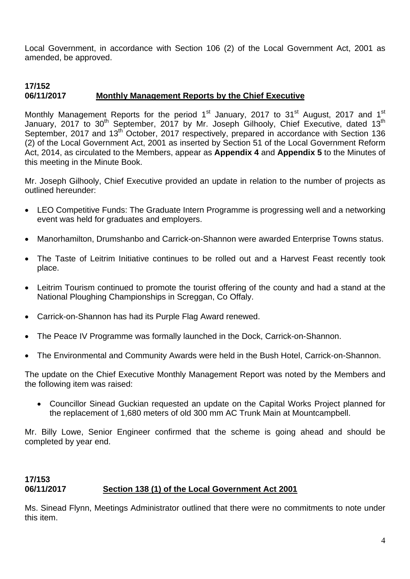Local Government, in accordance with Section 106 (2) of the Local Government Act, 2001 as amended, be approved.

#### **17/152 06/11/2017 Monthly Management Reports by the Chief Executive**

Monthly Management Reports for the period 1<sup>st</sup> January, 2017 to 31<sup>st</sup> August, 2017 and 1<sup>st</sup> January, 2017 to 30<sup>th</sup> September, 2017 by Mr. Joseph Gilhooly, Chief Executive, dated 13<sup>th</sup> September, 2017 and 13<sup>th</sup> October, 2017 respectively, prepared in accordance with Section 136 (2) of the Local Government Act, 2001 as inserted by Section 51 of the Local Government Reform Act, 2014, as circulated to the Members, appear as **Appendix 4** and **Appendix 5** to the Minutes of this meeting in the Minute Book.

Mr. Joseph Gilhooly, Chief Executive provided an update in relation to the number of projects as outlined hereunder:

- LEO Competitive Funds: The Graduate Intern Programme is progressing well and a networking event was held for graduates and employers.
- Manorhamilton, Drumshanbo and Carrick-on-Shannon were awarded Enterprise Towns status.
- The Taste of Leitrim Initiative continues to be rolled out and a Harvest Feast recently took place.
- Leitrim Tourism continued to promote the tourist offering of the county and had a stand at the National Ploughing Championships in Screggan, Co Offaly.
- Carrick-on-Shannon has had its Purple Flag Award renewed.
- The Peace IV Programme was formally launched in the Dock, Carrick-on-Shannon.
- The Environmental and Community Awards were held in the Bush Hotel, Carrick-on-Shannon.

The update on the Chief Executive Monthly Management Report was noted by the Members and the following item was raised:

• Councillor Sinead Guckian requested an update on the Capital Works Project planned for the replacement of 1,680 meters of old 300 mm AC Trunk Main at Mountcampbell.

Mr. Billy Lowe, Senior Engineer confirmed that the scheme is going ahead and should be completed by year end.

#### **17/153 06/11/2017 Section 138 (1) of the Local Government Act 2001**

Ms. Sinead Flynn, Meetings Administrator outlined that there were no commitments to note under this item.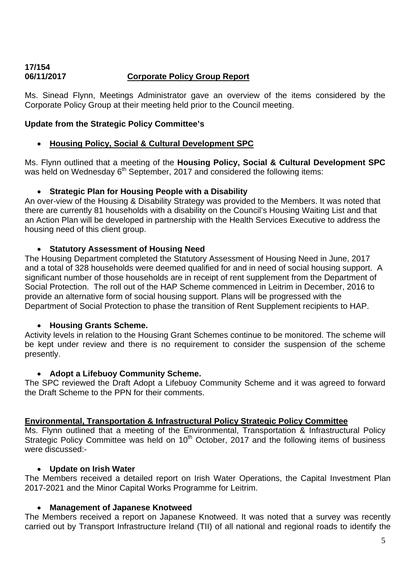#### **17/154 06/11/2017 Corporate Policy Group Report**

Ms. Sinead Flynn, Meetings Administrator gave an overview of the items considered by the Corporate Policy Group at their meeting held prior to the Council meeting.

#### **Update from the Strategic Policy Committee's**

#### • **Housing Policy, Social & Cultural Development SPC**

Ms. Flynn outlined that a meeting of the **Housing Policy, Social & Cultural Development SPC** was held on Wednesday  $6<sup>th</sup>$  September, 2017 and considered the following items:

#### • **Strategic Plan for Housing People with a Disability**

An over-view of the Housing & Disability Strategy was provided to the Members. It was noted that there are currently 81 households with a disability on the Council's Housing Waiting List and that an Action Plan will be developed in partnership with the Health Services Executive to address the housing need of this client group.

#### • **Statutory Assessment of Housing Need**

The Housing Department completed the Statutory Assessment of Housing Need in June, 2017 and a total of 328 households were deemed qualified for and in need of social housing support. A significant number of those households are in receipt of rent supplement from the Department of Social Protection. The roll out of the HAP Scheme commenced in Leitrim in December, 2016 to provide an alternative form of social housing support. Plans will be progressed with the Department of Social Protection to phase the transition of Rent Supplement recipients to HAP.

#### • **Housing Grants Scheme.**

Activity levels in relation to the Housing Grant Schemes continue to be monitored. The scheme will be kept under review and there is no requirement to consider the suspension of the scheme presently.

#### • **Adopt a Lifebuoy Community Scheme.**

The SPC reviewed the Draft Adopt a Lifebuoy Community Scheme and it was agreed to forward the Draft Scheme to the PPN for their comments.

#### **Environmental, Transportation & Infrastructural Policy Strategic Policy Committee**

Ms. Flynn outlined that a meeting of the Environmental, Transportation & Infrastructural Policy Strategic Policy Committee was held on  $10<sup>th</sup>$  October, 2017 and the following items of business were discussed:-

#### • **Update on Irish Water**

The Members received a detailed report on Irish Water Operations, the Capital Investment Plan 2017-2021 and the Minor Capital Works Programme for Leitrim.

#### • **Management of Japanese Knotweed**

The Members received a report on Japanese Knotweed. It was noted that a survey was recently carried out by Transport Infrastructure Ireland (TII) of all national and regional roads to identify the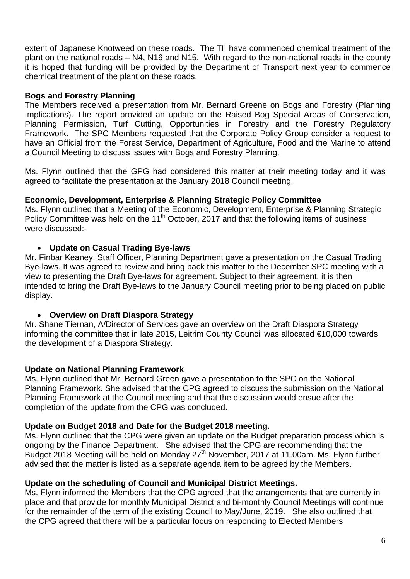extent of Japanese Knotweed on these roads. The TII have commenced chemical treatment of the plant on the national roads – N4, N16 and N15. With regard to the non-national roads in the county it is hoped that funding will be provided by the Department of Transport next year to commence chemical treatment of the plant on these roads.

#### **Bogs and Forestry Planning**

The Members received a presentation from Mr. Bernard Greene on Bogs and Forestry (Planning Implications). The report provided an update on the Raised Bog Special Areas of Conservation, Planning Permission, Turf Cutting, Opportunities in Forestry and the Forestry Regulatory Framework. The SPC Members requested that the Corporate Policy Group consider a request to have an Official from the Forest Service, Department of Agriculture, Food and the Marine to attend a Council Meeting to discuss issues with Bogs and Forestry Planning.

Ms. Flynn outlined that the GPG had considered this matter at their meeting today and it was agreed to facilitate the presentation at the January 2018 Council meeting.

#### **Economic, Development, Enterprise & Planning Strategic Policy Committee**

Ms. Flynn outlined that a Meeting of the Economic, Development, Enterprise & Planning Strategic Policy Committee was held on the 11<sup>th</sup> October, 2017 and that the following items of business were discussed:-

#### • **Update on Casual Trading Bye-laws**

Mr. Finbar Keaney, Staff Officer, Planning Department gave a presentation on the Casual Trading Bye-laws. It was agreed to review and bring back this matter to the December SPC meeting with a view to presenting the Draft Bye-laws for agreement. Subject to their agreement, it is then intended to bring the Draft Bye-laws to the January Council meeting prior to being placed on public display.

#### • **Overview on Draft Diaspora Strategy**

Mr. Shane Tiernan, A/Director of Services gave an overview on the Draft Diaspora Strategy informing the committee that in late 2015, Leitrim County Council was allocated €10,000 towards the development of a Diaspora Strategy.

#### **Update on National Planning Framework**

Ms. Flynn outlined that Mr. Bernard Green gave a presentation to the SPC on the National Planning Framework. She advised that the CPG agreed to discuss the submission on the National Planning Framework at the Council meeting and that the discussion would ensue after the completion of the update from the CPG was concluded.

#### **Update on Budget 2018 and Date for the Budget 2018 meeting.**

Ms. Flynn outlined that the CPG were given an update on the Budget preparation process which is ongoing by the Finance Department. She advised that the CPG are recommending that the Budget 2018 Meeting will be held on Monday  $27<sup>th</sup>$  November, 2017 at 11.00am. Ms. Flynn further advised that the matter is listed as a separate agenda item to be agreed by the Members.

#### **Update on the scheduling of Council and Municipal District Meetings.**

Ms. Flynn informed the Members that the CPG agreed that the arrangements that are currently in place and that provide for monthly Municipal District and bi-monthly Council Meetings will continue for the remainder of the term of the existing Council to May/June, 2019. She also outlined that the CPG agreed that there will be a particular focus on responding to Elected Members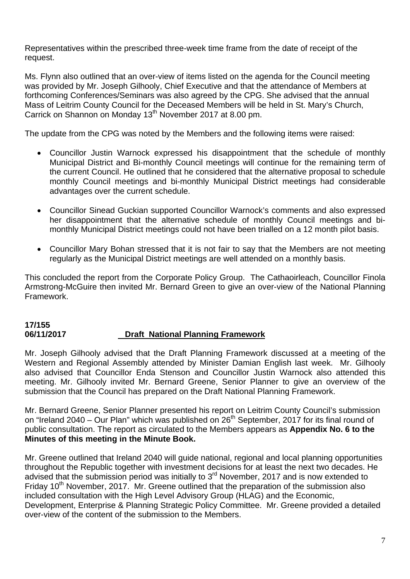Representatives within the prescribed three-week time frame from the date of receipt of the request.

Ms. Flynn also outlined that an over-view of items listed on the agenda for the Council meeting was provided by Mr. Joseph Gilhooly, Chief Executive and that the attendance of Members at forthcoming Conferences/Seminars was also agreed by the CPG. She advised that the annual Mass of Leitrim County Council for the Deceased Members will be held in St. Mary's Church, Carrick on Shannon on Monday 13<sup>th</sup> November 2017 at 8.00 pm.

The update from the CPG was noted by the Members and the following items were raised:

- Councillor Justin Warnock expressed his disappointment that the schedule of monthly Municipal District and Bi-monthly Council meetings will continue for the remaining term of the current Council. He outlined that he considered that the alternative proposal to schedule monthly Council meetings and bi-monthly Municipal District meetings had considerable advantages over the current schedule.
- Councillor Sinead Guckian supported Councillor Warnock's comments and also expressed her disappointment that the alternative schedule of monthly Council meetings and bimonthly Municipal District meetings could not have been trialled on a 12 month pilot basis.
- Councillor Mary Bohan stressed that it is not fair to say that the Members are not meeting regularly as the Municipal District meetings are well attended on a monthly basis.

This concluded the report from the Corporate Policy Group. The Cathaoirleach, Councillor Finola Armstrong-McGuire then invited Mr. Bernard Green to give an over-view of the National Planning Framework.

#### **17/155 06/11/2017 Draft National Planning Framework**

Mr. Joseph Gilhooly advised that the Draft Planning Framework discussed at a meeting of the Western and Regional Assembly attended by Minister Damian English last week. Mr. Gilhooly also advised that Councillor Enda Stenson and Councillor Justin Warnock also attended this meeting. Mr. Gilhooly invited Mr. Bernard Greene, Senior Planner to give an overview of the submission that the Council has prepared on the Draft National Planning Framework.

Mr. Bernard Greene, Senior Planner presented his report on Leitrim County Council's submission on "Ireland 2040 – Our Plan" which was published on  $26<sup>th</sup>$  September, 2017 for its final round of public consultation. The report as circulated to the Members appears as **Appendix No. 6 to the Minutes of this meeting in the Minute Book.** 

Mr. Greene outlined that Ireland 2040 will guide national, regional and local planning opportunities throughout the Republic together with investment decisions for at least the next two decades. He advised that the submission period was initially to 3<sup>rd</sup> November, 2017 and is now extended to Friday 10<sup>th</sup> November, 2017. Mr. Greene outlined that the preparation of the submission also included consultation with the High Level Advisory Group (HLAG) and the Economic, Development, Enterprise & Planning Strategic Policy Committee. Mr. Greene provided a detailed over-view of the content of the submission to the Members.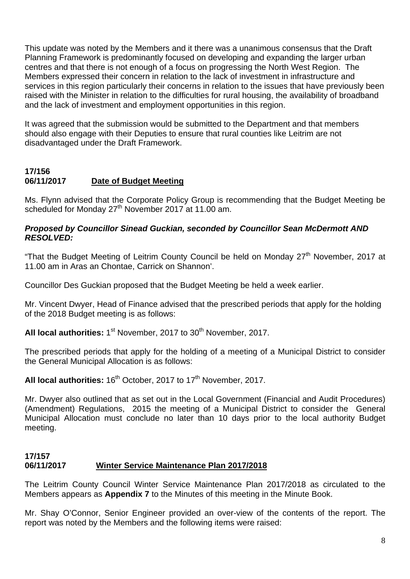This update was noted by the Members and it there was a unanimous consensus that the Draft Planning Framework is predominantly focused on developing and expanding the larger urban centres and that there is not enough of a focus on progressing the North West Region. The Members expressed their concern in relation to the lack of investment in infrastructure and services in this region particularly their concerns in relation to the issues that have previously been raised with the Minister in relation to the difficulties for rural housing, the availability of broadband and the lack of investment and employment opportunities in this region.

It was agreed that the submission would be submitted to the Department and that members should also engage with their Deputies to ensure that rural counties like Leitrim are not disadvantaged under the Draft Framework.

#### **17/156 06/11/2017 Date of Budget Meeting**

Ms. Flynn advised that the Corporate Policy Group is recommending that the Budget Meeting be scheduled for Monday 27<sup>th</sup> November 2017 at 11.00 am.

#### *Proposed by Councillor Sinead Guckian, seconded by Councillor Sean McDermott AND RESOLVED:*

"That the Budget Meeting of Leitrim County Council be held on Monday 27<sup>th</sup> November, 2017 at 11.00 am in Aras an Chontae, Carrick on Shannon'.

Councillor Des Guckian proposed that the Budget Meeting be held a week earlier.

Mr. Vincent Dwyer, Head of Finance advised that the prescribed periods that apply for the holding of the 2018 Budget meeting is as follows:

All local authorities: 1<sup>st</sup> November, 2017 to 30<sup>th</sup> November, 2017.

The prescribed periods that apply for the holding of a meeting of a Municipal District to consider the General Municipal Allocation is as follows:

All local authorities:  $16<sup>th</sup>$  October, 2017 to 17<sup>th</sup> November, 2017.

Mr. Dwyer also outlined that as set out in the Local Government (Financial and Audit Procedures) (Amendment) Regulations, 2015 the meeting of a Municipal District to consider the General Municipal Allocation must conclude no later than 10 days prior to the local authority Budget meeting.

#### **17/157 06/11/2017 Winter Service Maintenance Plan 2017/2018**

The Leitrim County Council Winter Service Maintenance Plan 2017/2018 as circulated to the Members appears as **Appendix 7** to the Minutes of this meeting in the Minute Book.

Mr. Shay O'Connor, Senior Engineer provided an over-view of the contents of the report. The report was noted by the Members and the following items were raised: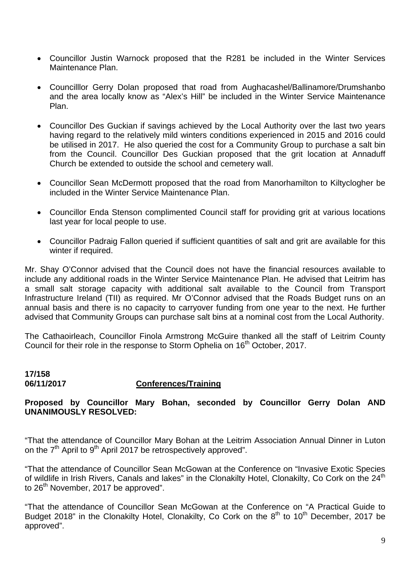- Councillor Justin Warnock proposed that the R281 be included in the Winter Services Maintenance Plan.
- Councilllor Gerry Dolan proposed that road from Aughacashel/Ballinamore/Drumshanbo and the area locally know as "Alex's Hill" be included in the Winter Service Maintenance Plan.
- Councillor Des Guckian if savings achieved by the Local Authority over the last two years having regard to the relatively mild winters conditions experienced in 2015 and 2016 could be utilised in 2017. He also queried the cost for a Community Group to purchase a salt bin from the Council. Councillor Des Guckian proposed that the grit location at Annaduff Church be extended to outside the school and cemetery wall.
- Councillor Sean McDermott proposed that the road from Manorhamilton to Kiltyclogher be included in the Winter Service Maintenance Plan.
- Councillor Enda Stenson complimented Council staff for providing grit at various locations last year for local people to use.
- Councillor Padraig Fallon queried if sufficient quantities of salt and grit are available for this winter if required.

Mr. Shay O'Connor advised that the Council does not have the financial resources available to include any additional roads in the Winter Service Maintenance Plan. He advised that Leitrim has a small salt storage capacity with additional salt available to the Council from Transport Infrastructure Ireland (TII) as required. Mr O'Connor advised that the Roads Budget runs on an annual basis and there is no capacity to carryover funding from one year to the next. He further advised that Community Groups can purchase salt bins at a nominal cost from the Local Authority.

The Cathaoirleach, Councillor Finola Armstrong McGuire thanked all the staff of Leitrim County Council for their role in the response to Storm Ophelia on 16<sup>th</sup> October, 2017.

#### **17/158 06/11/2017 Conferences/Training**

#### **Proposed by Councillor Mary Bohan, seconded by Councillor Gerry Dolan AND UNANIMOUSLY RESOLVED:**

"That the attendance of Councillor Mary Bohan at the Leitrim Association Annual Dinner in Luton on the  $7<sup>th</sup>$  April to 9<sup>th</sup> April 2017 be retrospectively approved".

"That the attendance of Councillor Sean McGowan at the Conference on "Invasive Exotic Species of wildlife in Irish Rivers, Canals and lakes" in the Clonakilty Hotel, Clonakilty, Co Cork on the 24<sup>th</sup> to 26<sup>th</sup> November, 2017 be approved".

"That the attendance of Councillor Sean McGowan at the Conference on "A Practical Guide to Budget 2018" in the Clonakilty Hotel, Clonakilty, Co Cork on the  $8<sup>th</sup>$  to 10<sup>th</sup> December, 2017 be approved".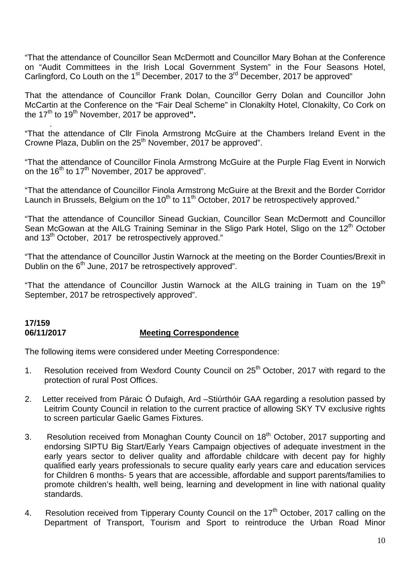"That the attendance of Councillor Sean McDermott and Councillor Mary Bohan at the Conference on "Audit Committees in the Irish Local Government System" in the Four Seasons Hotel, Carlingford, Co Louth on the 1<sup>st</sup> December, 2017 to the 3<sup>rd</sup> December, 2017 be approved"

That the attendance of Councillor Frank Dolan, Councillor Gerry Dolan and Councillor John McCartin at the Conference on the "Fair Deal Scheme" in Clonakilty Hotel, Clonakilty, Co Cork on the 17<sup>th</sup> to 19<sup>th</sup> November, 2017 be approved".

. "That the attendance of Cllr Finola Armstrong McGuire at the Chambers Ireland Event in the Crowne Plaza, Dublin on the  $25<sup>th</sup>$  November, 2017 be approved".

"That the attendance of Councillor Finola Armstrong McGuire at the Purple Flag Event in Norwich on the  $16^{th}$  to  $17^{th}$  November, 2017 be approved".

"That the attendance of Councillor Finola Armstrong McGuire at the Brexit and the Border Corridor Launch in Brussels, Belgium on the  $10<sup>th</sup>$  to  $11<sup>th</sup>$  October, 2017 be retrospectively approved."

"That the attendance of Councillor Sinead Guckian, Councillor Sean McDermott and Councillor Sean McGowan at the AILG Training Seminar in the Sligo Park Hotel, Sligo on the 12<sup>th</sup> October and 13<sup>th</sup> October, 2017 be retrospectively approved."

"That the attendance of Councillor Justin Warnock at the meeting on the Border Counties/Brexit in Dublin on the 6<sup>th</sup> June, 2017 be retrospectively approved".

"That the attendance of Councillor Justin Warnock at the AILG training in Tuam on the 19<sup>th</sup> September, 2017 be retrospectively approved".

#### **17/159 06/11/2017 Meeting Correspondence**

The following items were considered under Meeting Correspondence:

- 1. Resolution received from Wexford County Council on 25<sup>th</sup> October, 2017 with regard to the protection of rural Post Offices.
- 2. Letter received from Páraic Ó Dufaigh, Ard –Stiúrthóir GAA regarding a resolution passed by Leitrim County Council in relation to the current practice of allowing SKY TV exclusive rights to screen particular Gaelic Games Fixtures.
- 3. Resolution received from Monaghan County Council on 18<sup>th</sup> October, 2017 supporting and endorsing SIPTU Big Start/Early Years Campaign objectives of adequate investment in the early years sector to deliver quality and affordable childcare with decent pay for highly qualified early years professionals to secure quality early years care and education services for Children 6 months- 5 years that are accessible, affordable and support parents/families to promote children's health, well being, learning and development in line with national quality standards.
- 4. Resolution received from Tipperary County Council on the 17<sup>th</sup> October, 2017 calling on the Department of Transport, Tourism and Sport to reintroduce the Urban Road Minor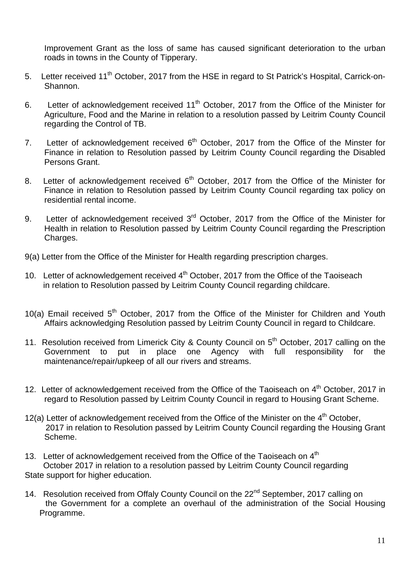Improvement Grant as the loss of same has caused significant deterioration to the urban roads in towns in the County of Tipperary.

- 5. Letter received 11<sup>th</sup> October, 2017 from the HSE in regard to St Patrick's Hospital, Carrick-on-Shannon.
- 6. Letter of acknowledgement received 11<sup>th</sup> October, 2017 from the Office of the Minister for Agriculture, Food and the Marine in relation to a resolution passed by Leitrim County Council regarding the Control of TB.
- 7. Letter of acknowledgement received  $6<sup>th</sup>$  October, 2017 from the Office of the Minster for Finance in relation to Resolution passed by Leitrim County Council regarding the Disabled Persons Grant.
- 8. Letter of acknowledgement received  $6<sup>th</sup>$  October, 2017 from the Office of the Minister for Finance in relation to Resolution passed by Leitrim County Council regarding tax policy on residential rental income.
- 9. Letter of acknowledgement received 3<sup>rd</sup> October, 2017 from the Office of the Minister for Health in relation to Resolution passed by Leitrim County Council regarding the Prescription Charges.
- 9(a) Letter from the Office of the Minister for Health regarding prescription charges.
- 10. Letter of acknowledgement received 4<sup>th</sup> October, 2017 from the Office of the Taoiseach in relation to Resolution passed by Leitrim County Council regarding childcare.
- 10(a) Email received  $5<sup>th</sup>$  October, 2017 from the Office of the Minister for Children and Youth Affairs acknowledging Resolution passed by Leitrim County Council in regard to Childcare.
- 11. Resolution received from Limerick City & County Council on 5<sup>th</sup> October, 2017 calling on the Government to put in place one Agency with full responsibility for the maintenance/repair/upkeep of all our rivers and streams.
- 12. Letter of acknowledgement received from the Office of the Taoiseach on 4<sup>th</sup> October, 2017 in regard to Resolution passed by Leitrim County Council in regard to Housing Grant Scheme.
- 12(a) Letter of acknowledgement received from the Office of the Minister on the  $4<sup>th</sup>$  October, 2017 in relation to Resolution passed by Leitrim County Council regarding the Housing Grant Scheme.
- 13. Letter of acknowledgement received from the Office of the Taoiseach on  $4<sup>th</sup>$  October 2017 in relation to a resolution passed by Leitrim County Council regarding State support for higher education.
- 14. Resolution received from Offaly County Council on the 22<sup>nd</sup> September, 2017 calling on the Government for a complete an overhaul of the administration of the Social Housing Programme.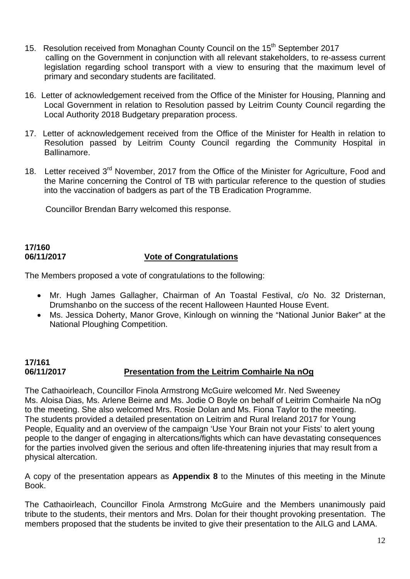- 15. Resolution received from Monaghan County Council on the 15<sup>th</sup> September 2017 calling on the Government in conjunction with all relevant stakeholders, to re-assess current legislation regarding school transport with a view to ensuring that the maximum level of primary and secondary students are facilitated.
- 16. Letter of acknowledgement received from the Office of the Minister for Housing, Planning and Local Government in relation to Resolution passed by Leitrim County Council regarding the Local Authority 2018 Budgetary preparation process.
- 17. Letter of acknowledgement received from the Office of the Minister for Health in relation to Resolution passed by Leitrim County Council regarding the Community Hospital in Ballinamore.
- 18. Letter received 3<sup>rd</sup> November, 2017 from the Office of the Minister for Agriculture, Food and the Marine concerning the Control of TB with particular reference to the question of studies into the vaccination of badgers as part of the TB Eradication Programme.

Councillor Brendan Barry welcomed this response.

# **17/160**

#### **06/11/2017 Vote of Congratulations**

The Members proposed a vote of congratulations to the following:

- Mr. Hugh James Gallagher, Chairman of An Toastal Festival, c/o No. 32 Dristernan, Drumshanbo on the success of the recent Halloween Haunted House Event.
- Ms. Jessica Doherty, Manor Grove, Kinlough on winning the "National Junior Baker" at the National Ploughing Competition.

#### **17/161 06/11/2017 Presentation from the Leitrim Comhairle Na nOg**

The Cathaoirleach, Councillor Finola Armstrong McGuire welcomed Mr. Ned Sweeney Ms. Aloisa Dias, Ms. Arlene Beirne and Ms. Jodie O Boyle on behalf of Leitrim Comhairle Na nOg to the meeting. She also welcomed Mrs. Rosie Dolan and Ms. Fiona Taylor to the meeting. The students provided a detailed presentation on Leitrim and Rural Ireland 2017 for Young People, Equality and an overview of the campaign 'Use Your Brain not your Fists' to alert young people to the danger of engaging in altercations/fights which can have devastating consequences for the parties involved given the serious and often life-threatening injuries that may result from a physical altercation.

A copy of the presentation appears as **Appendix 8** to the Minutes of this meeting in the Minute Book.

The Cathaoirleach, Councillor Finola Armstrong McGuire and the Members unanimously paid tribute to the students, their mentors and Mrs. Dolan for their thought provoking presentation. The members proposed that the students be invited to give their presentation to the AILG and LAMA.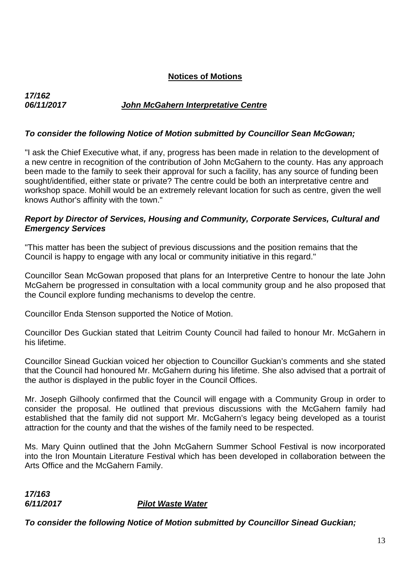#### **Notices of Motions**

## *06/11/2017 John McGahern Interpretative Centre*

#### *To consider the following Notice of Motion submitted by Councillor Sean McGowan;*

"I ask the Chief Executive what, if any, progress has been made in relation to the development of a new centre in recognition of the contribution of John McGahern to the county. Has any approach been made to the family to seek their approval for such a facility, has any source of funding been sought/identified, either state or private? The centre could be both an interpretative centre and workshop space. Mohill would be an extremely relevant location for such as centre, given the well knows Author's affinity with the town."

#### *Report by Director of Services, Housing and Community, Corporate Services, Cultural and Emergency Services*

"This matter has been the subject of previous discussions and the position remains that the Council is happy to engage with any local or community initiative in this regard."

Councillor Sean McGowan proposed that plans for an Interpretive Centre to honour the late John McGahern be progressed in consultation with a local community group and he also proposed that the Council explore funding mechanisms to develop the centre.

Councillor Enda Stenson supported the Notice of Motion.

Councillor Des Guckian stated that Leitrim County Council had failed to honour Mr. McGahern in his lifetime.

Councillor Sinead Guckian voiced her objection to Councillor Guckian's comments and she stated that the Council had honoured Mr. McGahern during his lifetime. She also advised that a portrait of the author is displayed in the public foyer in the Council Offices.

Mr. Joseph Gilhooly confirmed that the Council will engage with a Community Group in order to consider the proposal. He outlined that previous discussions with the McGahern family had established that the family did not support Mr. McGahern's legacy being developed as a tourist attraction for the county and that the wishes of the family need to be respected.

Ms. Mary Quinn outlined that the John McGahern Summer School Festival is now incorporated into the Iron Mountain Literature Festival which has been developed in collaboration between the Arts Office and the McGahern Family.

*17/163* 

*17/162* 

*6/11/2017 Pilot Waste Water* 

*To consider the following Notice of Motion submitted by Councillor Sinead Guckian;*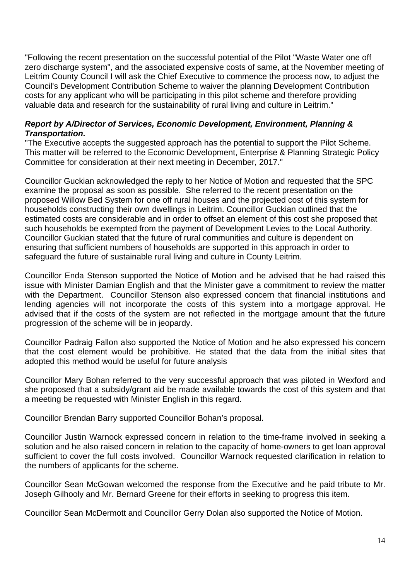"Following the recent presentation on the successful potential of the Pilot "Waste Water one off zero discharge system", and the associated expensive costs of same, at the November meeting of Leitrim County Council I will ask the Chief Executive to commence the process now, to adjust the Council's Development Contribution Scheme to waiver the planning Development Contribution costs for any applicant who will be participating in this pilot scheme and therefore providing valuable data and research for the sustainability of rural living and culture in Leitrim."

#### *Report by A/Director of Services, Economic Development, Environment, Planning & Transportation.*

"The Executive accepts the suggested approach has the potential to support the Pilot Scheme. This matter will be referred to the Economic Development, Enterprise & Planning Strategic Policy Committee for consideration at their next meeting in December, 2017."

Councillor Guckian acknowledged the reply to her Notice of Motion and requested that the SPC examine the proposal as soon as possible. She referred to the recent presentation on the proposed Willow Bed System for one off rural houses and the projected cost of this system for households constructing their own dwellings in Leitrim. Councillor Guckian outlined that the estimated costs are considerable and in order to offset an element of this cost she proposed that such households be exempted from the payment of Development Levies to the Local Authority. Councillor Guckian stated that the future of rural communities and culture is dependent on ensuring that sufficient numbers of households are supported in this approach in order to safeguard the future of sustainable rural living and culture in County Leitrim.

Councillor Enda Stenson supported the Notice of Motion and he advised that he had raised this issue with Minister Damian English and that the Minister gave a commitment to review the matter with the Department. Councillor Stenson also expressed concern that financial institutions and lending agencies will not incorporate the costs of this system into a mortgage approval. He advised that if the costs of the system are not reflected in the mortgage amount that the future progression of the scheme will be in jeopardy.

Councillor Padraig Fallon also supported the Notice of Motion and he also expressed his concern that the cost element would be prohibitive. He stated that the data from the initial sites that adopted this method would be useful for future analysis

Councillor Mary Bohan referred to the very successful approach that was piloted in Wexford and she proposed that a subsidy/grant aid be made available towards the cost of this system and that a meeting be requested with Minister English in this regard.

Councillor Brendan Barry supported Councillor Bohan's proposal.

Councillor Justin Warnock expressed concern in relation to the time-frame involved in seeking a solution and he also raised concern in relation to the capacity of home-owners to get loan approval sufficient to cover the full costs involved. Councillor Warnock requested clarification in relation to the numbers of applicants for the scheme.

Councillor Sean McGowan welcomed the response from the Executive and he paid tribute to Mr. Joseph Gilhooly and Mr. Bernard Greene for their efforts in seeking to progress this item.

Councillor Sean McDermott and Councillor Gerry Dolan also supported the Notice of Motion.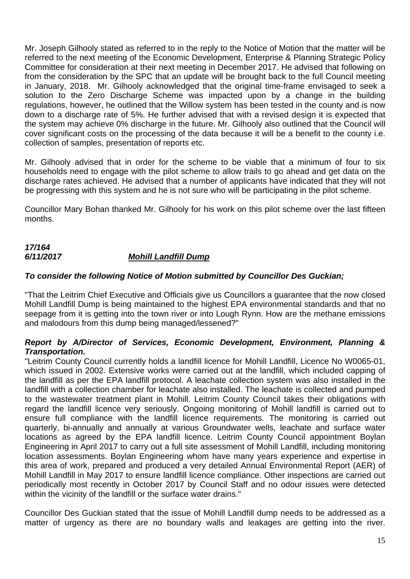Mr. Joseph Gilhooly stated as referred to in the reply to the Notice of Motion that the matter will be referred to the next meeting of the Economic Development, Enterprise & Planning Strategic Policy Committee for consideration at their next meeting in December 2017. He advised that following on from the consideration by the SPC that an update will be brought back to the full Council meeting in January, 2018. Mr. Gilhooly acknowledged that the original time-frame envisaged to seek a solution to the Zero Discharge Scheme was impacted upon by a change in the building regulations, however, he outlined that the Willow system has been tested in the county and is now down to a discharge rate of 5%. He further advised that with a revised design it is expected that the system may achieve 0% discharge in the future. Mr. Gilhooly also outlined that the Council will cover significant costs on the processing of the data because it will be a benefit to the county i.e. collection of samples, presentation of reports etc.

Mr. Gilhooly advised that in order for the scheme to be viable that a minimum of four to six households need to engage with the pilot scheme to allow trails to go ahead and get data on the discharge rates achieved. He advised that a number of applicants have indicated that they will not be progressing with this system and he is not sure who will be participating in the pilot scheme.

Councillor Mary Bohan thanked Mr. Gilhooly for his work on this pilot scheme over the last fifteen months.

### *17/164 6/11/2017 Mohill Landfill Dump*

#### *To consider the following Notice of Motion submitted by Councillor Des Guckian;*

"That the Leitrim Chief Executive and Officials give us Councillors a guarantee that the now closed Mohill Landfill Dump is being maintained to the highest EPA environmental standards and that no seepage from it is getting into the town river or into Lough Rynn. How are the methane emissions and malodours from this dump being managed/lessened?"

#### *Report by A/Director of Services, Economic Development, Environment, Planning & Transportation.*

"Leitrim County Council currently holds a landfill licence for Mohill Landfill, Licence No W0065-01, which issued in 2002. Extensive works were carried out at the landfill, which included capping of the landfill as per the EPA landfill protocol. A leachate collection system was also installed in the landfill with a collection chamber for leachate also installed. The leachate is collected and pumped to the wastewater treatment plant in Mohill. Leitrim County Council takes their obligations with regard the landfill licence very seriously. Ongoing monitoring of Mohill landfill is carried out to ensure full compliance with the landfill licence requirements. The monitoring is carried out quarterly, bi-annually and annually at various Groundwater wells, leachate and surface water locations as agreed by the EPA landfill licence. Leitrim County Council appointment Boylan Engineering in April 2017 to carry out a full site assessment of Mohill Landfill, including monitoring location assessments. Boylan Engineering whom have many years experience and expertise in this area of work, prepared and produced a very detailed Annual Environmental Report (AER) of Mohill Landfill in May 2017 to ensure landfill licence compliance. Other inspections are carried out periodically most recently in October 2017 by Council Staff and no odour issues were detected within the vicinity of the landfill or the surface water drains."

Councillor Des Guckian stated that the issue of Mohill Landfill dump needs to be addressed as a matter of urgency as there are no boundary walls and leakages are getting into the river.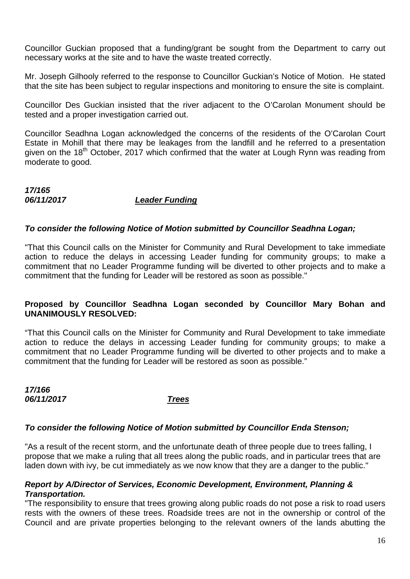Councillor Guckian proposed that a funding/grant be sought from the Department to carry out necessary works at the site and to have the waste treated correctly.

Mr. Joseph Gilhooly referred to the response to Councillor Guckian's Notice of Motion. He stated that the site has been subject to regular inspections and monitoring to ensure the site is complaint.

Councillor Des Guckian insisted that the river adjacent to the O'Carolan Monument should be tested and a proper investigation carried out.

Councillor Seadhna Logan acknowledged the concerns of the residents of the O'Carolan Court Estate in Mohill that there may be leakages from the landfill and he referred to a presentation given on the 18<sup>th</sup> October, 2017 which confirmed that the water at Lough Rynn was reading from moderate to good.

#### *17/165 06/11/2017 Leader Funding*

#### *To consider the following Notice of Motion submitted by Councillor Seadhna Logan;*

"That this Council calls on the Minister for Community and Rural Development to take immediate action to reduce the delays in accessing Leader funding for community groups; to make a commitment that no Leader Programme funding will be diverted to other projects and to make a commitment that the funding for Leader will be restored as soon as possible."

#### **Proposed by Councillor Seadhna Logan seconded by Councillor Mary Bohan and UNANIMOUSLY RESOLVED:**

"That this Council calls on the Minister for Community and Rural Development to take immediate action to reduce the delays in accessing Leader funding for community groups; to make a commitment that no Leader Programme funding will be diverted to other projects and to make a commitment that the funding for Leader will be restored as soon as possible."

*17/166 06/11/2017 Trees*

#### *To consider the following Notice of Motion submitted by Councillor Enda Stenson;*

"As a result of the recent storm, and the unfortunate death of three people due to trees falling, I propose that we make a ruling that all trees along the public roads, and in particular trees that are laden down with ivy, be cut immediately as we now know that they are a danger to the public."

#### *Report by A/Director of Services, Economic Development, Environment, Planning & Transportation.*

"The responsibility to ensure that trees growing along public roads do not pose a risk to road users rests with the owners of these trees. Roadside trees are not in the ownership or control of the Council and are private properties belonging to the relevant owners of the lands abutting the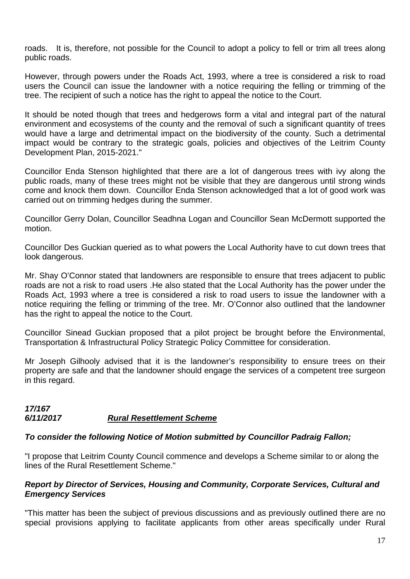roads. It is, therefore, not possible for the Council to adopt a policy to fell or trim all trees along public roads.

However, through powers under the Roads Act, 1993, where a tree is considered a risk to road users the Council can issue the landowner with a notice requiring the felling or trimming of the tree. The recipient of such a notice has the right to appeal the notice to the Court.

It should be noted though that trees and hedgerows form a vital and integral part of the natural environment and ecosystems of the county and the removal of such a significant quantity of trees would have a large and detrimental impact on the biodiversity of the county. Such a detrimental impact would be contrary to the strategic goals, policies and objectives of the Leitrim County Development Plan, 2015-2021."

Councillor Enda Stenson highlighted that there are a lot of dangerous trees with ivy along the public roads, many of these trees might not be visible that they are dangerous until strong winds come and knock them down. Councillor Enda Stenson acknowledged that a lot of good work was carried out on trimming hedges during the summer.

Councillor Gerry Dolan, Councillor Seadhna Logan and Councillor Sean McDermott supported the motion.

Councillor Des Guckian queried as to what powers the Local Authority have to cut down trees that look dangerous.

Mr. Shay O'Connor stated that landowners are responsible to ensure that trees adjacent to public roads are not a risk to road users .He also stated that the Local Authority has the power under the Roads Act, 1993 where a tree is considered a risk to road users to issue the landowner with a notice requiring the felling or trimming of the tree. Mr. O'Connor also outlined that the landowner has the right to appeal the notice to the Court.

Councillor Sinead Guckian proposed that a pilot project be brought before the Environmental, Transportation & Infrastructural Policy Strategic Policy Committee for consideration.

Mr Joseph Gilhooly advised that it is the landowner's responsibility to ensure trees on their property are safe and that the landowner should engage the services of a competent tree surgeon in this regard.

#### *17/167 6/11/2017 Rural Resettlement Scheme*

#### *To consider the following Notice of Motion submitted by Councillor Padraig Fallon;*

"I propose that Leitrim County Council commence and develops a Scheme similar to or along the lines of the Rural Resettlement Scheme."

#### *Report by Director of Services, Housing and Community, Corporate Services, Cultural and Emergency Services*

"This matter has been the subject of previous discussions and as previously outlined there are no special provisions applying to facilitate applicants from other areas specifically under Rural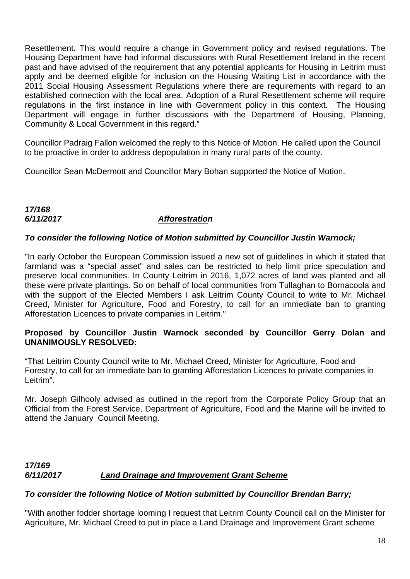Resettlement. This would require a change in Government policy and revised regulations. The Housing Department have had informal discussions with Rural Resettlement Ireland in the recent past and have advised of the requirement that any potential applicants for Housing in Leitrim must apply and be deemed eligible for inclusion on the Housing Waiting List in accordance with the 2011 Social Housing Assessment Regulations where there are requirements with regard to an established connection with the local area. Adoption of a Rural Resettlement scheme will require regulations in the first instance in line with Government policy in this context. The Housing Department will engage in further discussions with the Department of Housing, Planning, Community & Local Government in this regard."

Councillor Padraig Fallon welcomed the reply to this Notice of Motion. He called upon the Council to be proactive in order to address depopulation in many rural parts of the county.

Councillor Sean McDermott and Councillor Mary Bohan supported the Notice of Motion.

#### *17/168 6/11/2017 Afforestration*

#### *To consider the following Notice of Motion submitted by Councillor Justin Warnock;*

"In early October the European Commission issued a new set of guidelines in which it stated that farmland was a "special asset" and sales can be restricted to help limit price speculation and preserve local communities. In County Leitrim in 2016, 1,072 acres of land was planted and all these were private plantings. So on behalf of local communities from Tullaghan to Bornacoola and with the support of the Elected Members I ask Leitrim County Council to write to Mr. Michael Creed, Minister for Agriculture, Food and Forestry, to call for an immediate ban to granting Afforestation Licences to private companies in Leitrim."

#### **Proposed by Councillor Justin Warnock seconded by Councillor Gerry Dolan and UNANIMOUSLY RESOLVED:**

"That Leitrim County Council write to Mr. Michael Creed, Minister for Agriculture, Food and Forestry, to call for an immediate ban to granting Afforestation Licences to private companies in Leitrim".

Mr. Joseph Gilhooly advised as outlined in the report from the Corporate Policy Group that an Official from the Forest Service, Department of Agriculture, Food and the Marine will be invited to attend the January Council Meeting.

#### *17/169 6/11/2017 Land Drainage and Improvement Grant Scheme*

#### *To consider the following Notice of Motion submitted by Councillor Brendan Barry;*

"With another fodder shortage looming I request that Leitrim County Council call on the Minister for Agriculture, Mr. Michael Creed to put in place a Land Drainage and Improvement Grant scheme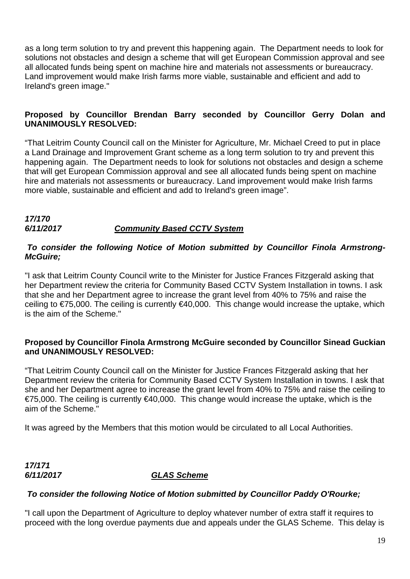as a long term solution to try and prevent this happening again. The Department needs to look for solutions not obstacles and design a scheme that will get European Commission approval and see all allocated funds being spent on machine hire and materials not assessments or bureaucracy. Land improvement would make Irish farms more viable, sustainable and efficient and add to Ireland's green image."

#### **Proposed by Councillor Brendan Barry seconded by Councillor Gerry Dolan and UNANIMOUSLY RESOLVED:**

"That Leitrim County Council call on the Minister for Agriculture, Mr. Michael Creed to put in place a Land Drainage and Improvement Grant scheme as a long term solution to try and prevent this happening again. The Department needs to look for solutions not obstacles and design a scheme that will get European Commission approval and see all allocated funds being spent on machine hire and materials not assessments or bureaucracy. Land improvement would make Irish farms more viable, sustainable and efficient and add to Ireland's green image".

#### *17/170 6/11/2017 Community Based CCTV System*

#### *To consider the following Notice of Motion submitted by Councillor Finola Armstrong-McGuire;*

"I ask that Leitrim County Council write to the Minister for Justice Frances Fitzgerald asking that her Department review the criteria for Community Based CCTV System Installation in towns. I ask that she and her Department agree to increase the grant level from 40% to 75% and raise the ceiling to €75,000. The ceiling is currently €40,000. This change would increase the uptake, which is the aim of the Scheme."

#### **Proposed by Councillor Finola Armstrong McGuire seconded by Councillor Sinead Guckian and UNANIMOUSLY RESOLVED:**

"That Leitrim County Council call on the Minister for Justice Frances Fitzgerald asking that her Department review the criteria for Community Based CCTV System Installation in towns. I ask that she and her Department agree to increase the grant level from 40% to 75% and raise the ceiling to €75,000. The ceiling is currently €40,000. This change would increase the uptake, which is the aim of the Scheme."

It was agreed by the Members that this motion would be circulated to all Local Authorities.

*17/171* 

#### *6/11/2017 GLAS Scheme*

#### *To consider the following Notice of Motion submitted by Councillor Paddy O'Rourke;*

"I call upon the Department of Agriculture to deploy whatever number of extra staff it requires to proceed with the long overdue payments due and appeals under the GLAS Scheme. This delay is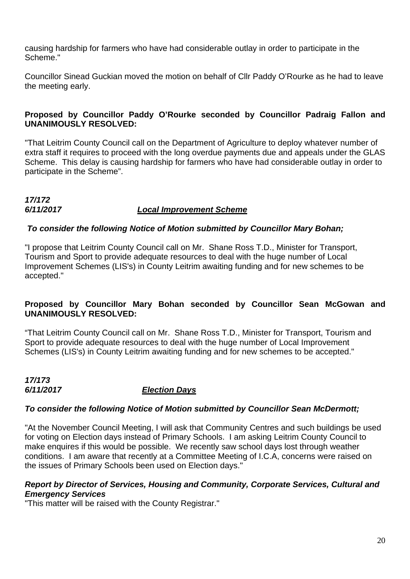causing hardship for farmers who have had considerable outlay in order to participate in the Scheme."

Councillor Sinead Guckian moved the motion on behalf of Cllr Paddy O'Rourke as he had to leave the meeting early.

#### **Proposed by Councillor Paddy O'Rourke seconded by Councillor Padraig Fallon and UNANIMOUSLY RESOLVED:**

"That Leitrim County Council call on the Department of Agriculture to deploy whatever number of extra staff it requires to proceed with the long overdue payments due and appeals under the GLAS Scheme. This delay is causing hardship for farmers who have had considerable outlay in order to participate in the Scheme".

#### *17/172 6/11/2017 Local Improvement Scheme*

#### *To consider the following Notice of Motion submitted by Councillor Mary Bohan;*

"I propose that Leitrim County Council call on Mr. Shane Ross T.D., Minister for Transport, Tourism and Sport to provide adequate resources to deal with the huge number of Local Improvement Schemes (LIS's) in County Leitrim awaiting funding and for new schemes to be accepted."

#### **Proposed by Councillor Mary Bohan seconded by Councillor Sean McGowan and UNANIMOUSLY RESOLVED:**

"That Leitrim County Council call on Mr. Shane Ross T.D., Minister for Transport, Tourism and Sport to provide adequate resources to deal with the huge number of Local Improvement Schemes (LIS's) in County Leitrim awaiting funding and for new schemes to be accepted."

#### *17/173 Election Davs*

#### *To consider the following Notice of Motion submitted by Councillor Sean McDermott;*

"At the November Council Meeting, I will ask that Community Centres and such buildings be used for voting on Election days instead of Primary Schools. I am asking Leitrim County Council to make enquires if this would be possible. We recently saw school days lost through weather conditions. I am aware that recently at a Committee Meeting of I.C.A, concerns were raised on the issues of Primary Schools been used on Election days."

#### *Report by Director of Services, Housing and Community, Corporate Services, Cultural and Emergency Services*

"This matter will be raised with the County Registrar."